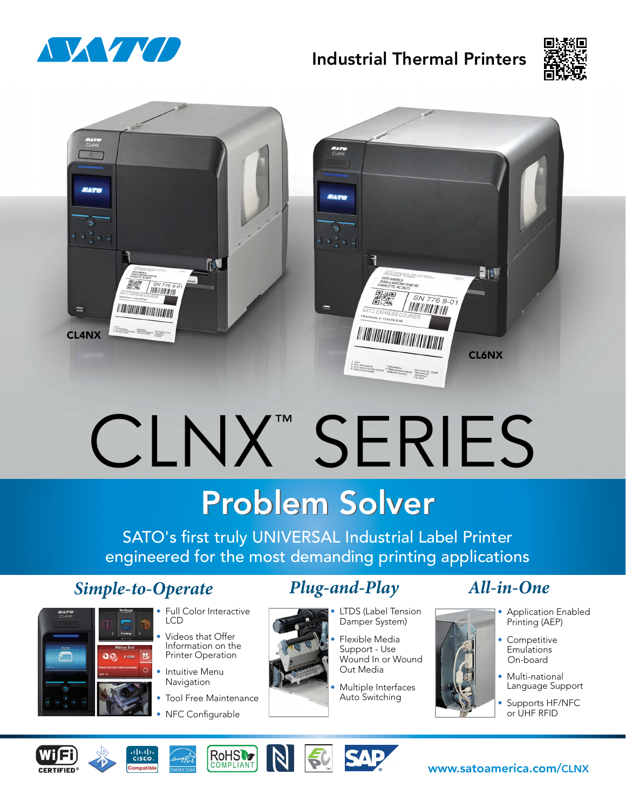

## Industrial Thermal Printers





# CLNX™ SERIES

## **Problem Solver**

SATO's first truly UNIVERSAL Industrial Label Printer engineered for the most demanding printing applications

## *Simple-to-Operate Plug-and-Play All-in-One*

22 ለነ



- Full Color Interactive LCD
	- Videos that Offer Information on the Printer Operation
	- Intuitive Menu **Navigation**
	- Tool Free Maintenance
	- NFC Configurable

- LTDS (Label Tension Damper System)
- Flexible Media Support - Use Wound In or Wound Out Media
- Multiple Interfaces Auto Switching

- Application Enabled Printing (AEP)
- Competitive **Emulations** On-board
- Multi-national Language Support
- Supports HF/NFC or UHF RFID











www.satoamerica.com/CLNX